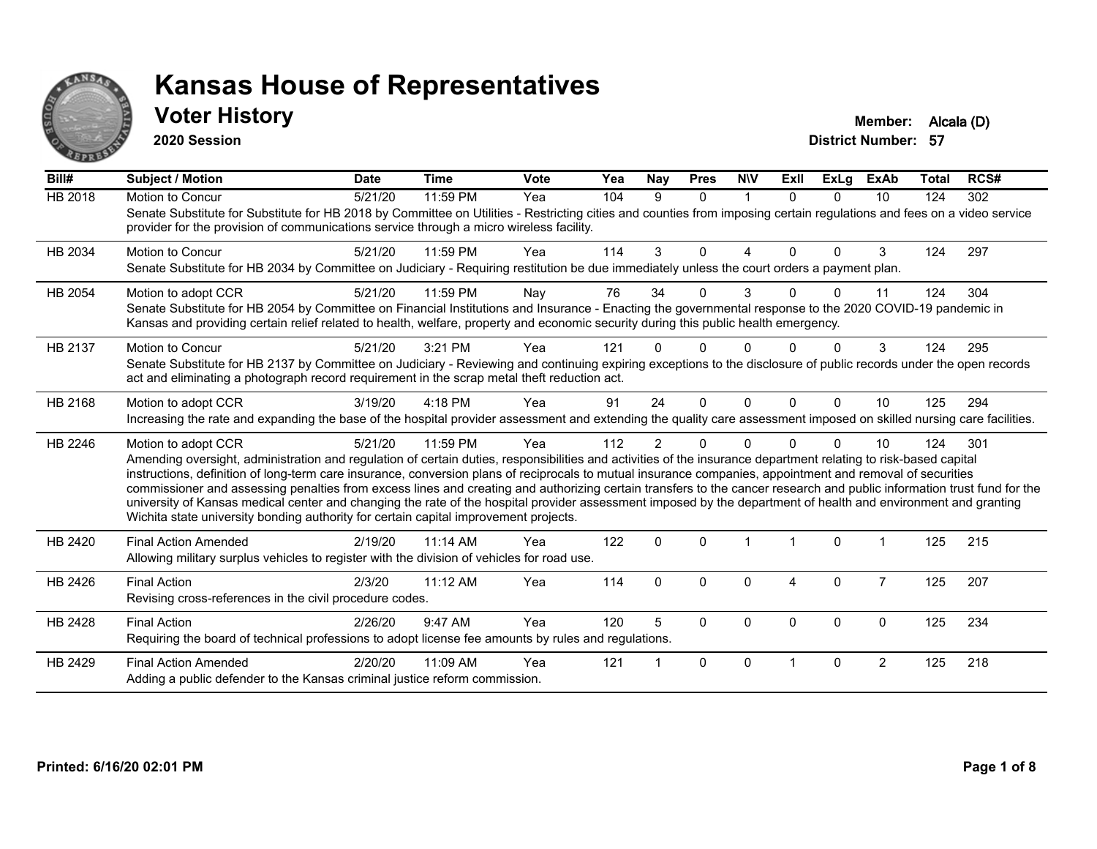

#### **Voter History Member:** Alcala (D)

**2020 Session**

| Bill#          | <b>Subject / Motion</b>                                                                                                                                                                                                                                                                                                                                                                                                                                                                                                                                                                                                                                                                                                                                                                  | <b>Date</b> | <b>Time</b> | Vote | Yea | Nay           | <b>Pres</b> | <b>NIV</b> | ExII     | <b>ExLg</b>  | <b>ExAb</b>    | Total | RCS# |
|----------------|------------------------------------------------------------------------------------------------------------------------------------------------------------------------------------------------------------------------------------------------------------------------------------------------------------------------------------------------------------------------------------------------------------------------------------------------------------------------------------------------------------------------------------------------------------------------------------------------------------------------------------------------------------------------------------------------------------------------------------------------------------------------------------------|-------------|-------------|------|-----|---------------|-------------|------------|----------|--------------|----------------|-------|------|
| <b>HB 2018</b> | Motion to Concur<br>Senate Substitute for Substitute for HB 2018 by Committee on Utilities - Restricting cities and counties from imposing certain regulations and fees on a video service<br>provider for the provision of communications service through a micro wireless facility.                                                                                                                                                                                                                                                                                                                                                                                                                                                                                                    | 5/21/20     | 11:59 PM    | Yea  | 104 | 9             | $\Omega$    | -1         | $\Omega$ | $\Omega$     | 10             | 124   | 302  |
| HB 2034        | <b>Motion to Concur</b><br>Senate Substitute for HB 2034 by Committee on Judiciary - Requiring restitution be due immediately unless the court orders a payment plan.                                                                                                                                                                                                                                                                                                                                                                                                                                                                                                                                                                                                                    | 5/21/20     | 11:59 PM    | Yea  | 114 | 3             | $\Omega$    | 4          | $\Omega$ | $\Omega$     | 3              | 124   | 297  |
| HB 2054        | Motion to adopt CCR<br>Senate Substitute for HB 2054 by Committee on Financial Institutions and Insurance - Enacting the governmental response to the 2020 COVID-19 pandemic in<br>Kansas and providing certain relief related to health, welfare, property and economic security during this public health emergency.                                                                                                                                                                                                                                                                                                                                                                                                                                                                   | 5/21/20     | 11:59 PM    | Nay  | 76  | 34            | $\Omega$    | 3          | 0        | $\Omega$     | 11             | 124   | 304  |
| HB 2137        | Motion to Concur<br>Senate Substitute for HB 2137 by Committee on Judiciary - Reviewing and continuing expiring exceptions to the disclosure of public records under the open records<br>act and eliminating a photograph record requirement in the scrap metal theft reduction act.                                                                                                                                                                                                                                                                                                                                                                                                                                                                                                     | 5/21/20     | 3:21 PM     | Yea  | 121 |               | U           |            |          | <sup>n</sup> | 3              | 124   | 295  |
| HB 2168        | Motion to adopt CCR<br>Increasing the rate and expanding the base of the hospital provider assessment and extending the quality care assessment imposed on skilled nursing care facilities.                                                                                                                                                                                                                                                                                                                                                                                                                                                                                                                                                                                              | 3/19/20     | 4:18 PM     | Yea  | 91  | 24            | $\Omega$    | $\Omega$   | $\Omega$ | $\Omega$     | 10             | 125   | 294  |
| HB 2246        | Motion to adopt CCR<br>Amending oversight, administration and regulation of certain duties, responsibilities and activities of the insurance department relating to risk-based capital<br>instructions, definition of long-term care insurance, conversion plans of reciprocals to mutual insurance companies, appointment and removal of securities<br>commissioner and assessing penalties from excess lines and creating and authorizing certain transfers to the cancer research and public information trust fund for the<br>university of Kansas medical center and changing the rate of the hospital provider assessment imposed by the department of health and environment and granting<br>Wichita state university bonding authority for certain capital improvement projects. | 5/21/20     | 11:59 PM    | Yea  | 112 | $\mathcal{P}$ | $\Omega$    | $\Omega$   | U        | 0            | 10             | 124   | 301  |
| HB 2420        | <b>Final Action Amended</b><br>Allowing military surplus vehicles to register with the division of vehicles for road use.                                                                                                                                                                                                                                                                                                                                                                                                                                                                                                                                                                                                                                                                | 2/19/20     | 11:14 AM    | Yea  | 122 | $\Omega$      | $\Omega$    |            |          | $\Omega$     |                | 125   | 215  |
| HB 2426        | <b>Final Action</b><br>Revising cross-references in the civil procedure codes.                                                                                                                                                                                                                                                                                                                                                                                                                                                                                                                                                                                                                                                                                                           | 2/3/20      | 11:12 AM    | Yea  | 114 | $\Omega$      | $\Omega$    | $\Omega$   | 4        | $\Omega$     | $\overline{7}$ | 125   | 207  |
| HB 2428        | <b>Final Action</b><br>Requiring the board of technical professions to adopt license fee amounts by rules and regulations.                                                                                                                                                                                                                                                                                                                                                                                                                                                                                                                                                                                                                                                               | 2/26/20     | 9:47 AM     | Yea  | 120 | 5             | $\Omega$    | $\Omega$   | $\Omega$ | $\Omega$     | 0              | 125   | 234  |
| HB 2429        | <b>Final Action Amended</b><br>Adding a public defender to the Kansas criminal justice reform commission.                                                                                                                                                                                                                                                                                                                                                                                                                                                                                                                                                                                                                                                                                | 2/20/20     | 11:09 AM    | Yea  | 121 |               | $\Omega$    | $\Omega$   |          | $\Omega$     | 2              | 125   | 218  |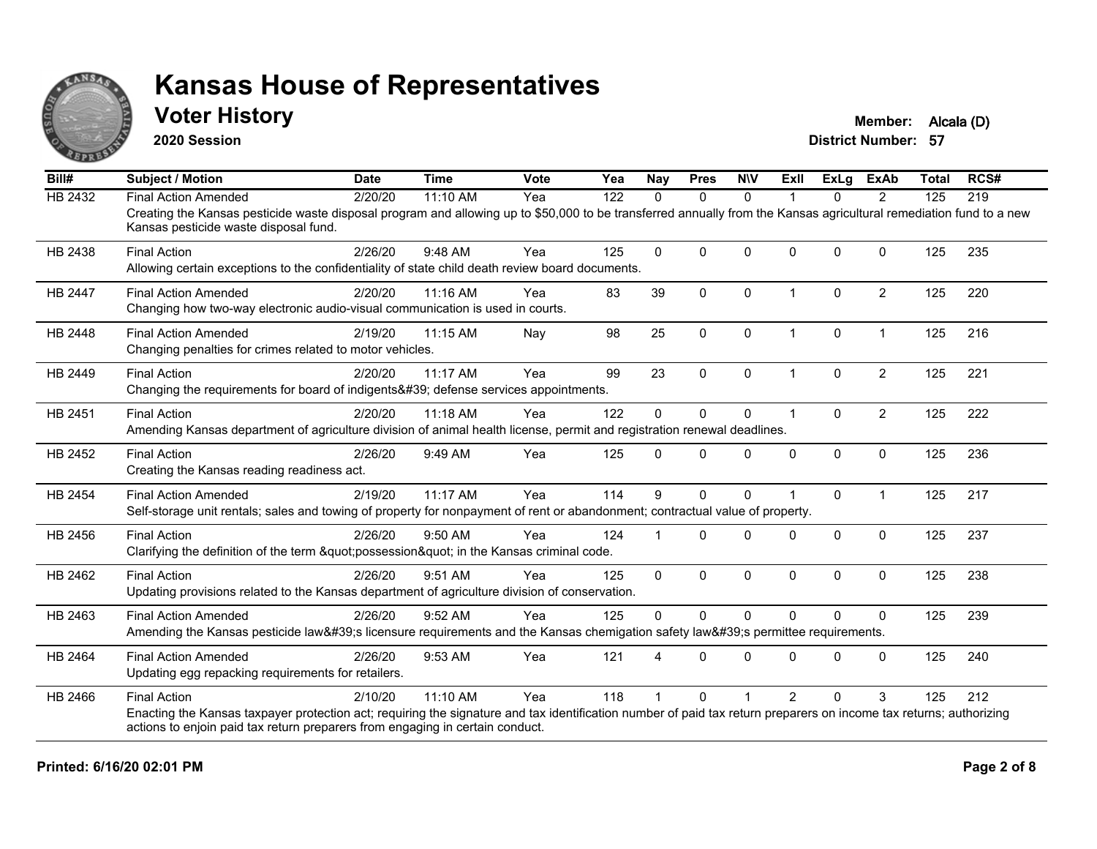

#### **Voter History Member: Alcala (D)**

**2020 Session**

| Bill#          | <b>Subject / Motion</b>                                                                                                                                                                                     | <b>Date</b> | <b>Time</b> | <b>Vote</b> | Yea | <b>Nay</b>   | <b>Pres</b>  | <b>NIV</b>   | ExII                 | ExLg         | <b>ExAb</b>    | <b>Total</b> | RCS# |
|----------------|-------------------------------------------------------------------------------------------------------------------------------------------------------------------------------------------------------------|-------------|-------------|-------------|-----|--------------|--------------|--------------|----------------------|--------------|----------------|--------------|------|
| HB 2432        | <b>Final Action Amended</b>                                                                                                                                                                                 | 2/20/20     | $11:10$ AM  | Yea         | 122 | $\Omega$     | $\mathbf{0}$ | $\Omega$     |                      | $\Omega$     | $\overline{2}$ | 125          | 219  |
|                | Creating the Kansas pesticide waste disposal program and allowing up to \$50,000 to be transferred annually from the Kansas agricultural remediation fund to a new<br>Kansas pesticide waste disposal fund. |             |             |             |     |              |              |              |                      |              |                |              |      |
| HB 2438        | <b>Final Action</b>                                                                                                                                                                                         | 2/26/20     | 9:48 AM     | Yea         | 125 | $\mathbf{0}$ | $\Omega$     | $\Omega$     | 0                    | $\Omega$     | $\mathbf{0}$   | 125          | 235  |
|                | Allowing certain exceptions to the confidentiality of state child death review board documents.                                                                                                             |             |             |             |     |              |              |              |                      |              |                |              |      |
| <b>HB 2447</b> | <b>Final Action Amended</b>                                                                                                                                                                                 | 2/20/20     | 11:16 AM    | Yea         | 83  | 39           | $\mathbf{0}$ | $\mathbf{0}$ | $\overline{1}$       | $\Omega$     | $\overline{2}$ | 125          | 220  |
|                | Changing how two-way electronic audio-visual communication is used in courts.                                                                                                                               |             |             |             |     |              |              |              |                      |              |                |              |      |
| HB 2448        | <b>Final Action Amended</b>                                                                                                                                                                                 | 2/19/20     | 11:15 AM    | Nay         | 98  | 25           | $\mathbf 0$  | $\mathbf 0$  | $\overline{1}$       | 0            | $\overline{1}$ | 125          | 216  |
|                | Changing penalties for crimes related to motor vehicles.                                                                                                                                                    |             |             |             |     |              |              |              |                      |              |                |              |      |
| HB 2449        | <b>Final Action</b>                                                                                                                                                                                         | 2/20/20     | 11:17 AM    | Yea         | 99  | 23           | $\mathbf{0}$ | $\mathbf{0}$ | $\blacktriangleleft$ | $\Omega$     | $\overline{2}$ | 125          | 221  |
|                | Changing the requirements for board of indigents' defense services appointments.                                                                                                                            |             |             |             |     |              |              |              |                      |              |                |              |      |
| HB 2451        | <b>Final Action</b>                                                                                                                                                                                         | 2/20/20     | 11:18 AM    | Yea         | 122 | $\Omega$     | $\mathbf{0}$ | $\Omega$     | $\blacktriangleleft$ | $\Omega$     | $\overline{2}$ | 125          | 222  |
|                | Amending Kansas department of agriculture division of animal health license, permit and registration renewal deadlines.                                                                                     |             |             |             |     |              |              |              |                      |              |                |              |      |
| HB 2452        | <b>Final Action</b>                                                                                                                                                                                         | 2/26/20     | 9:49 AM     | Yea         | 125 | $\mathbf{0}$ | $\mathbf{0}$ | $\mathbf 0$  | $\Omega$             | 0            | $\mathbf 0$    | 125          | 236  |
|                | Creating the Kansas reading readiness act.                                                                                                                                                                  |             |             |             |     |              |              |              |                      |              |                |              |      |
| HB 2454        | <b>Final Action Amended</b>                                                                                                                                                                                 | 2/19/20     | 11:17 AM    | Yea         | 114 | 9            | $\mathbf{0}$ | $\Omega$     |                      | $\Omega$     | $\overline{1}$ | 125          | 217  |
|                | Self-storage unit rentals; sales and towing of property for nonpayment of rent or abandonment; contractual value of property.                                                                               |             |             |             |     |              |              |              |                      |              |                |              |      |
| HB 2456        | <b>Final Action</b>                                                                                                                                                                                         | 2/26/20     | 9:50 AM     | Yea         | 124 |              | $\Omega$     | $\Omega$     | $\Omega$             | $\Omega$     | $\mathbf{0}$   | 125          | 237  |
|                | Clarifying the definition of the term "possession" in the Kansas criminal code.                                                                                                                             |             |             |             |     |              |              |              |                      |              |                |              |      |
| HB 2462        | <b>Final Action</b>                                                                                                                                                                                         | 2/26/20     | 9:51 AM     | Yea         | 125 | $\Omega$     | $\mathbf 0$  | 0            | $\Omega$             | $\Omega$     | $\mathbf 0$    | 125          | 238  |
|                | Updating provisions related to the Kansas department of agriculture division of conservation.                                                                                                               |             |             |             |     |              |              |              |                      |              |                |              |      |
| HB 2463        | <b>Final Action Amended</b>                                                                                                                                                                                 | 2/26/20     | 9:52 AM     | Yea         | 125 | $\mathbf{0}$ | $\mathbf{0}$ | $\mathbf{0}$ | $\Omega$             | $\Omega$     | $\mathbf{0}$   | 125          | 239  |
|                | Amending the Kansas pesticide law's licensure requirements and the Kansas chemigation safety law's permittee requirements.                                                                                  |             |             |             |     |              |              |              |                      |              |                |              |      |
| HB 2464        | <b>Final Action Amended</b>                                                                                                                                                                                 | 2/26/20     | 9:53 AM     | Yea         | 121 |              | $\Omega$     | $\Omega$     | <sup>0</sup>         | $\Omega$     | $\mathbf{0}$   | 125          | 240  |
|                | Updating egg repacking requirements for retailers.                                                                                                                                                          |             |             |             |     |              |              |              |                      |              |                |              |      |
| HB 2466        | <b>Final Action</b>                                                                                                                                                                                         | 2/10/20     | 11:10 AM    | Yea         | 118 |              | $\Omega$     |              | $\mathcal{P}$        | $\mathbf{0}$ | 3              | 125          | 212  |
|                | Enacting the Kansas taxpayer protection act; requiring the signature and tax identification number of paid tax return preparers on income tax returns; authorizing                                          |             |             |             |     |              |              |              |                      |              |                |              |      |
|                | actions to enjoin paid tax return preparers from engaging in certain conduct.                                                                                                                               |             |             |             |     |              |              |              |                      |              |                |              |      |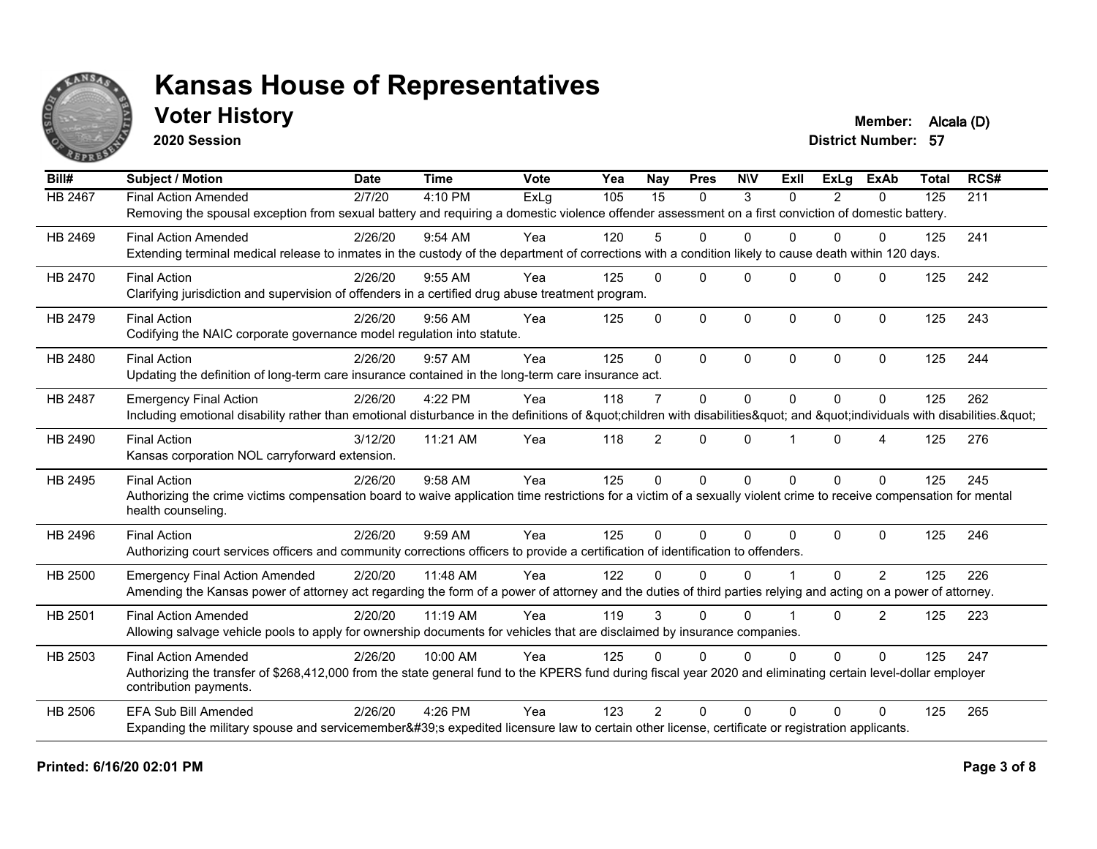

### **Voter History Member:** Alcala (D)

**2020 Session**

| Bill#                                                                                                  | <b>Subject / Motion</b>                                                                                                                                                                 | <b>Date</b> | <b>Time</b> | Vote                                                                                                                                                                                                                                                                                                                                                                                                                                                                                                                                                                                                                                                                                                                                                                                                                                                                                                                                                                                                                                                                                                                                                                                                                                                                                                                                                                                                                                                                                                                                                                                                                                                                                                                                                                                                                                                                                                                                                                                      | $\overline{Y}$ ea | Nay             | <b>Pres</b>  | <b>NIV</b> | ExII     | ExLa           | <b>ExAb</b> | <b>Total</b> | RCS# |
|--------------------------------------------------------------------------------------------------------|-----------------------------------------------------------------------------------------------------------------------------------------------------------------------------------------|-------------|-------------|-------------------------------------------------------------------------------------------------------------------------------------------------------------------------------------------------------------------------------------------------------------------------------------------------------------------------------------------------------------------------------------------------------------------------------------------------------------------------------------------------------------------------------------------------------------------------------------------------------------------------------------------------------------------------------------------------------------------------------------------------------------------------------------------------------------------------------------------------------------------------------------------------------------------------------------------------------------------------------------------------------------------------------------------------------------------------------------------------------------------------------------------------------------------------------------------------------------------------------------------------------------------------------------------------------------------------------------------------------------------------------------------------------------------------------------------------------------------------------------------------------------------------------------------------------------------------------------------------------------------------------------------------------------------------------------------------------------------------------------------------------------------------------------------------------------------------------------------------------------------------------------------------------------------------------------------------------------------------------------------|-------------------|-----------------|--------------|------------|----------|----------------|-------------|--------------|------|
| <b>HB 2467</b>                                                                                         | <b>Final Action Amended</b>                                                                                                                                                             | 2/7/20      | 4:10 PM     | ExLg                                                                                                                                                                                                                                                                                                                                                                                                                                                                                                                                                                                                                                                                                                                                                                                                                                                                                                                                                                                                                                                                                                                                                                                                                                                                                                                                                                                                                                                                                                                                                                                                                                                                                                                                                                                                                                                                                                                                                                                      | 105               | $\overline{15}$ | $\mathbf{0}$ | 3          | $\Omega$ | $\overline{2}$ | 0           | 125          | 211  |
|                                                                                                        |                                                                                                                                                                                         |             |             |                                                                                                                                                                                                                                                                                                                                                                                                                                                                                                                                                                                                                                                                                                                                                                                                                                                                                                                                                                                                                                                                                                                                                                                                                                                                                                                                                                                                                                                                                                                                                                                                                                                                                                                                                                                                                                                                                                                                                                                           |                   |                 |              |            |          |                |             |              |      |
| HB 2469<br>HB 2470<br>HB 2479<br>HB 2480<br><b>HB 2487</b><br>HB 2490<br>HB 2495<br>HB 2496<br>HB 2500 | <b>Final Action Amended</b>                                                                                                                                                             | 2/26/20     | 9:54 AM     | Yea                                                                                                                                                                                                                                                                                                                                                                                                                                                                                                                                                                                                                                                                                                                                                                                                                                                                                                                                                                                                                                                                                                                                                                                                                                                                                                                                                                                                                                                                                                                                                                                                                                                                                                                                                                                                                                                                                                                                                                                       | 120               | 5               | $\Omega$     | $\Omega$   | $\Omega$ | 0              | $\Omega$    | 125          | 241  |
|                                                                                                        |                                                                                                                                                                                         |             |             |                                                                                                                                                                                                                                                                                                                                                                                                                                                                                                                                                                                                                                                                                                                                                                                                                                                                                                                                                                                                                                                                                                                                                                                                                                                                                                                                                                                                                                                                                                                                                                                                                                                                                                                                                                                                                                                                                                                                                                                           |                   |                 |              |            |          |                |             |              |      |
|                                                                                                        | <b>Final Action</b>                                                                                                                                                                     | 2/26/20     | 9:55 AM     | Yea                                                                                                                                                                                                                                                                                                                                                                                                                                                                                                                                                                                                                                                                                                                                                                                                                                                                                                                                                                                                                                                                                                                                                                                                                                                                                                                                                                                                                                                                                                                                                                                                                                                                                                                                                                                                                                                                                                                                                                                       | 125               | $\mathbf{0}$    | $\Omega$     | $\Omega$   | $\Omega$ | $\mathbf 0$    | $\Omega$    | 125          | 242  |
|                                                                                                        | Clarifying jurisdiction and supervision of offenders in a certified drug abuse treatment program.                                                                                       |             |             | Removing the spousal exception from sexual battery and requiring a domestic violence offender assessment on a first conviction of domestic battery.<br>Extending terminal medical release to inmates in the custody of the department of corrections with a condition likely to cause death within 120 days.<br>$\Omega$<br>$\Omega$<br>$\mathbf 0$<br>$\mathbf{0}$<br>0<br>$\mathbf 0$<br>125<br>243<br>Yea<br>125<br>$\mathbf{0}$<br>$\Omega$<br>125<br>244<br>Yea<br>125<br>$\Omega$<br>$\Omega$<br>$\Omega$<br>$\Omega$<br>118<br>$\overline{7}$<br>0<br>$\mathbf{0}$<br>$\Omega$<br>$\Omega$<br>$\Omega$<br>125<br>262<br>Yea<br>Including emotional disability rather than emotional disturbance in the definitions of "children with disabilities" and "individuals with disabilities. "<br>$\overline{2}$<br>Yea<br>118<br>$\Omega$<br>$\Omega$<br>0<br>125<br>276<br>4<br>245<br>125<br>$\mathbf{0}$<br>$\Omega$<br>$\mathbf{0}$<br>$\Omega$<br>$\Omega$<br>$\Omega$<br>125<br>Yea<br>Authorizing the crime victims compensation board to waive application time restrictions for a victim of a sexually violent crime to receive compensation for mental<br>Yea<br>125<br>$\mathbf{0}$<br>$\Omega$<br>125<br>246<br>$\Omega$<br>$\Omega$<br>$\Omega$<br>$\Omega$<br>Authorizing court services officers and community corrections officers to provide a certification of identification to offenders.<br>Yea<br>122<br>0<br>$\overline{2}$<br>125<br>226<br><sup>0</sup><br>$\Omega$<br>$\Omega$<br>Amending the Kansas power of attorney act regarding the form of a power of attorney and the duties of third parties relying and acting on a power of attorney.<br>119<br>3<br>$\Omega$<br>2<br>Yea<br>$\Omega$<br>$\Omega$<br>125<br>223<br>Allowing salvage vehicle pools to apply for ownership documents for vehicles that are disclaimed by insurance companies.<br>125<br>$\mathbf 0$<br>$\Omega$<br>125<br>247<br>Yea<br>$\Omega$<br>$\Omega$<br>$\Omega$<br>$\Omega$ |                   |                 |              |            |          |                |             |              |      |
|                                                                                                        | <b>Final Action</b>                                                                                                                                                                     | 2/26/20     | 9:56 AM     |                                                                                                                                                                                                                                                                                                                                                                                                                                                                                                                                                                                                                                                                                                                                                                                                                                                                                                                                                                                                                                                                                                                                                                                                                                                                                                                                                                                                                                                                                                                                                                                                                                                                                                                                                                                                                                                                                                                                                                                           |                   |                 |              |            |          |                |             |              |      |
|                                                                                                        | Codifying the NAIC corporate governance model regulation into statute.                                                                                                                  |             |             |                                                                                                                                                                                                                                                                                                                                                                                                                                                                                                                                                                                                                                                                                                                                                                                                                                                                                                                                                                                                                                                                                                                                                                                                                                                                                                                                                                                                                                                                                                                                                                                                                                                                                                                                                                                                                                                                                                                                                                                           |                   |                 |              |            |          |                |             |              |      |
|                                                                                                        | <b>Final Action</b>                                                                                                                                                                     | 2/26/20     | 9:57 AM     |                                                                                                                                                                                                                                                                                                                                                                                                                                                                                                                                                                                                                                                                                                                                                                                                                                                                                                                                                                                                                                                                                                                                                                                                                                                                                                                                                                                                                                                                                                                                                                                                                                                                                                                                                                                                                                                                                                                                                                                           |                   |                 |              |            |          |                |             |              |      |
|                                                                                                        | Updating the definition of long-term care insurance contained in the long-term care insurance act.                                                                                      |             |             |                                                                                                                                                                                                                                                                                                                                                                                                                                                                                                                                                                                                                                                                                                                                                                                                                                                                                                                                                                                                                                                                                                                                                                                                                                                                                                                                                                                                                                                                                                                                                                                                                                                                                                                                                                                                                                                                                                                                                                                           |                   |                 |              |            |          |                |             |              |      |
|                                                                                                        | <b>Emergency Final Action</b>                                                                                                                                                           | 2/26/20     | 4:22 PM     |                                                                                                                                                                                                                                                                                                                                                                                                                                                                                                                                                                                                                                                                                                                                                                                                                                                                                                                                                                                                                                                                                                                                                                                                                                                                                                                                                                                                                                                                                                                                                                                                                                                                                                                                                                                                                                                                                                                                                                                           |                   |                 |              |            |          |                |             |              |      |
|                                                                                                        |                                                                                                                                                                                         |             |             |                                                                                                                                                                                                                                                                                                                                                                                                                                                                                                                                                                                                                                                                                                                                                                                                                                                                                                                                                                                                                                                                                                                                                                                                                                                                                                                                                                                                                                                                                                                                                                                                                                                                                                                                                                                                                                                                                                                                                                                           |                   |                 |              |            |          |                |             |              |      |
|                                                                                                        | <b>Final Action</b>                                                                                                                                                                     | 3/12/20     | 11:21 AM    |                                                                                                                                                                                                                                                                                                                                                                                                                                                                                                                                                                                                                                                                                                                                                                                                                                                                                                                                                                                                                                                                                                                                                                                                                                                                                                                                                                                                                                                                                                                                                                                                                                                                                                                                                                                                                                                                                                                                                                                           |                   |                 |              |            |          |                |             |              |      |
|                                                                                                        | Kansas corporation NOL carryforward extension.                                                                                                                                          |             |             |                                                                                                                                                                                                                                                                                                                                                                                                                                                                                                                                                                                                                                                                                                                                                                                                                                                                                                                                                                                                                                                                                                                                                                                                                                                                                                                                                                                                                                                                                                                                                                                                                                                                                                                                                                                                                                                                                                                                                                                           |                   |                 |              |            |          |                |             |              |      |
|                                                                                                        | <b>Final Action</b>                                                                                                                                                                     | 2/26/20     | 9:58 AM     |                                                                                                                                                                                                                                                                                                                                                                                                                                                                                                                                                                                                                                                                                                                                                                                                                                                                                                                                                                                                                                                                                                                                                                                                                                                                                                                                                                                                                                                                                                                                                                                                                                                                                                                                                                                                                                                                                                                                                                                           |                   |                 |              |            |          |                |             |              |      |
|                                                                                                        |                                                                                                                                                                                         |             |             |                                                                                                                                                                                                                                                                                                                                                                                                                                                                                                                                                                                                                                                                                                                                                                                                                                                                                                                                                                                                                                                                                                                                                                                                                                                                                                                                                                                                                                                                                                                                                                                                                                                                                                                                                                                                                                                                                                                                                                                           |                   |                 |              |            |          |                |             |              |      |
|                                                                                                        | health counseling.                                                                                                                                                                      |             |             |                                                                                                                                                                                                                                                                                                                                                                                                                                                                                                                                                                                                                                                                                                                                                                                                                                                                                                                                                                                                                                                                                                                                                                                                                                                                                                                                                                                                                                                                                                                                                                                                                                                                                                                                                                                                                                                                                                                                                                                           |                   |                 |              |            |          |                |             |              |      |
|                                                                                                        | <b>Final Action</b>                                                                                                                                                                     | 2/26/20     | 9:59 AM     |                                                                                                                                                                                                                                                                                                                                                                                                                                                                                                                                                                                                                                                                                                                                                                                                                                                                                                                                                                                                                                                                                                                                                                                                                                                                                                                                                                                                                                                                                                                                                                                                                                                                                                                                                                                                                                                                                                                                                                                           |                   |                 |              |            |          |                |             |              |      |
|                                                                                                        |                                                                                                                                                                                         |             |             |                                                                                                                                                                                                                                                                                                                                                                                                                                                                                                                                                                                                                                                                                                                                                                                                                                                                                                                                                                                                                                                                                                                                                                                                                                                                                                                                                                                                                                                                                                                                                                                                                                                                                                                                                                                                                                                                                                                                                                                           |                   |                 |              |            |          |                |             |              |      |
|                                                                                                        | <b>Emergency Final Action Amended</b>                                                                                                                                                   | 2/20/20     | 11:48 AM    |                                                                                                                                                                                                                                                                                                                                                                                                                                                                                                                                                                                                                                                                                                                                                                                                                                                                                                                                                                                                                                                                                                                                                                                                                                                                                                                                                                                                                                                                                                                                                                                                                                                                                                                                                                                                                                                                                                                                                                                           |                   |                 |              |            |          |                |             |              |      |
|                                                                                                        |                                                                                                                                                                                         |             |             |                                                                                                                                                                                                                                                                                                                                                                                                                                                                                                                                                                                                                                                                                                                                                                                                                                                                                                                                                                                                                                                                                                                                                                                                                                                                                                                                                                                                                                                                                                                                                                                                                                                                                                                                                                                                                                                                                                                                                                                           |                   |                 |              |            |          |                |             |              |      |
| HB 2501                                                                                                | <b>Final Action Amended</b>                                                                                                                                                             | 2/20/20     | 11:19 AM    |                                                                                                                                                                                                                                                                                                                                                                                                                                                                                                                                                                                                                                                                                                                                                                                                                                                                                                                                                                                                                                                                                                                                                                                                                                                                                                                                                                                                                                                                                                                                                                                                                                                                                                                                                                                                                                                                                                                                                                                           |                   |                 |              |            |          |                |             |              |      |
|                                                                                                        |                                                                                                                                                                                         |             |             |                                                                                                                                                                                                                                                                                                                                                                                                                                                                                                                                                                                                                                                                                                                                                                                                                                                                                                                                                                                                                                                                                                                                                                                                                                                                                                                                                                                                                                                                                                                                                                                                                                                                                                                                                                                                                                                                                                                                                                                           |                   |                 |              |            |          |                |             |              |      |
| HB 2503                                                                                                | <b>Final Action Amended</b>                                                                                                                                                             | 2/26/20     | 10:00 AM    |                                                                                                                                                                                                                                                                                                                                                                                                                                                                                                                                                                                                                                                                                                                                                                                                                                                                                                                                                                                                                                                                                                                                                                                                                                                                                                                                                                                                                                                                                                                                                                                                                                                                                                                                                                                                                                                                                                                                                                                           |                   |                 |              |            |          |                |             |              |      |
|                                                                                                        | Authorizing the transfer of \$268,412,000 from the state general fund to the KPERS fund during fiscal year 2020 and eliminating certain level-dollar employer<br>contribution payments. |             |             |                                                                                                                                                                                                                                                                                                                                                                                                                                                                                                                                                                                                                                                                                                                                                                                                                                                                                                                                                                                                                                                                                                                                                                                                                                                                                                                                                                                                                                                                                                                                                                                                                                                                                                                                                                                                                                                                                                                                                                                           |                   |                 |              |            |          |                |             |              |      |
| <b>HB 2506</b>                                                                                         | <b>EFA Sub Bill Amended</b>                                                                                                                                                             | 2/26/20     | $4:26$ PM   | Yea                                                                                                                                                                                                                                                                                                                                                                                                                                                                                                                                                                                                                                                                                                                                                                                                                                                                                                                                                                                                                                                                                                                                                                                                                                                                                                                                                                                                                                                                                                                                                                                                                                                                                                                                                                                                                                                                                                                                                                                       | 123               | $\mathfrak{D}$  | $\Omega$     | $\Omega$   | $\Omega$ | $\Omega$       | $\Omega$    | 125          | 265  |
|                                                                                                        | Expanding the military spouse and servicemember's expedited licensure law to certain other license, certificate or registration applicants.                                             |             |             |                                                                                                                                                                                                                                                                                                                                                                                                                                                                                                                                                                                                                                                                                                                                                                                                                                                                                                                                                                                                                                                                                                                                                                                                                                                                                                                                                                                                                                                                                                                                                                                                                                                                                                                                                                                                                                                                                                                                                                                           |                   |                 |              |            |          |                |             |              |      |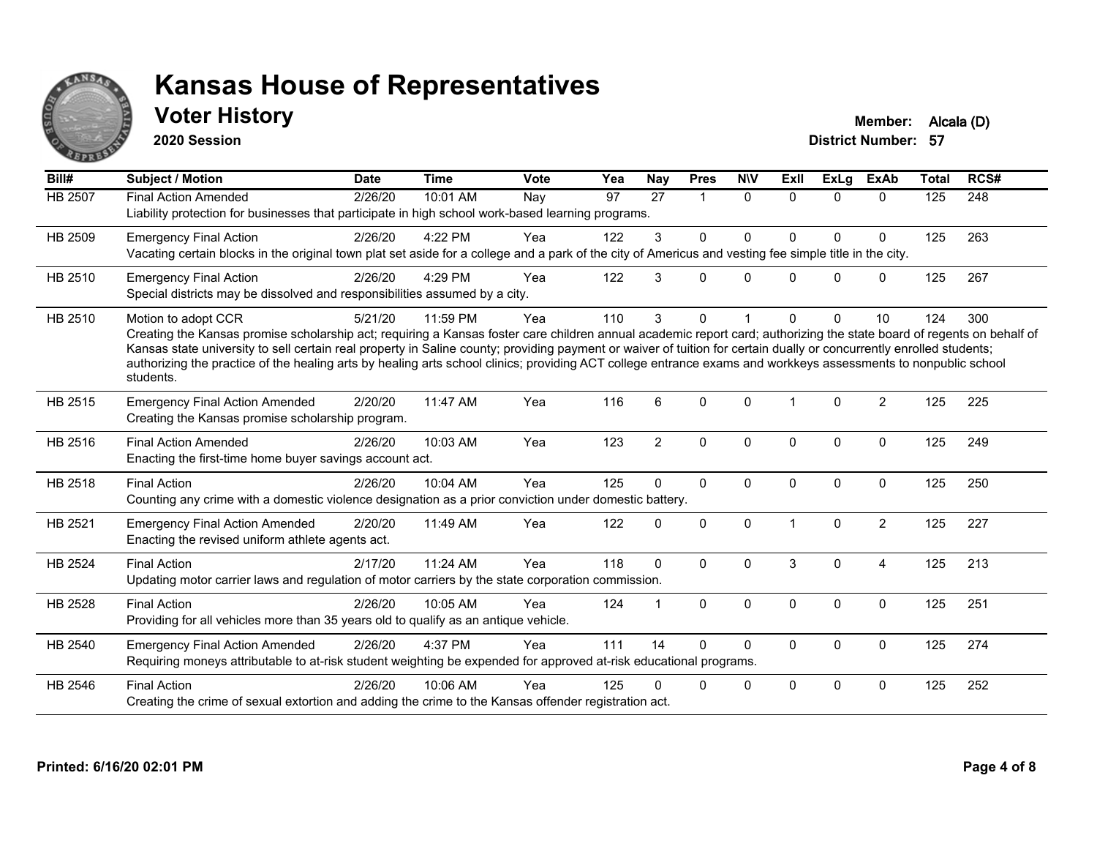

## **Voter History Member:** Alcala (D)

**2020 Session**

| Bill#          | <b>Subject / Motion</b>                                                                                                                                                                                                                                                                                                                                                                                                                                                                                                                             | <b>Date</b>      | <b>Time</b> | <b>Vote</b> | Yea | Nay            | <b>Pres</b>    | <b>NIV</b>   | ExII           | <b>ExLg</b> | <b>ExAb</b>    | <b>Total</b> | RCS# |
|----------------|-----------------------------------------------------------------------------------------------------------------------------------------------------------------------------------------------------------------------------------------------------------------------------------------------------------------------------------------------------------------------------------------------------------------------------------------------------------------------------------------------------------------------------------------------------|------------------|-------------|-------------|-----|----------------|----------------|--------------|----------------|-------------|----------------|--------------|------|
| <b>HB 2507</b> | <b>Final Action Amended</b><br>Liability protection for businesses that participate in high school work-based learning programs.                                                                                                                                                                                                                                                                                                                                                                                                                    | $\sqrt{2/26/20}$ | 10:01 AM    | Nay         | 97  | 27             | $\overline{1}$ | $\mathbf{0}$ | $\Omega$       | $\Omega$    | $\Omega$       | 125          | 248  |
| HB 2509        | <b>Emergency Final Action</b><br>Vacating certain blocks in the original town plat set aside for a college and a park of the city of Americus and vesting fee simple title in the city.                                                                                                                                                                                                                                                                                                                                                             | 2/26/20          | 4:22 PM     | Yea         | 122 | 3              | $\mathbf{0}$   | $\Omega$     | 0              | $\Omega$    | 0              | 125          | 263  |
| HB 2510        | <b>Emergency Final Action</b><br>Special districts may be dissolved and responsibilities assumed by a city.                                                                                                                                                                                                                                                                                                                                                                                                                                         | 2/26/20          | 4:29 PM     | Yea         | 122 | 3              | $\Omega$       | $\Omega$     | <sup>0</sup>   | $\Omega$    | 0              | 125          | 267  |
| HB 2510        | Motion to adopt CCR<br>Creating the Kansas promise scholarship act; requiring a Kansas foster care children annual academic report card; authorizing the state board of regents on behalf of<br>Kansas state university to sell certain real property in Saline county; providing payment or waiver of tuition for certain dually or concurrently enrolled students;<br>authorizing the practice of the healing arts by healing arts school clinics; providing ACT college entrance exams and workkeys assessments to nonpublic school<br>students. | 5/21/20          | 11:59 PM    | Yea         | 110 | 3              | $\mathbf{0}$   |              | <sup>n</sup>   | $\Omega$    | 10             | 124          | 300  |
| HB 2515        | <b>Emergency Final Action Amended</b><br>Creating the Kansas promise scholarship program.                                                                                                                                                                                                                                                                                                                                                                                                                                                           | 2/20/20          | 11:47 AM    | Yea         | 116 | 6              | $\Omega$       | $\Omega$     | $\overline{1}$ | $\Omega$    | $\overline{2}$ | 125          | 225  |
| HB 2516        | <b>Final Action Amended</b><br>Enacting the first-time home buyer savings account act.                                                                                                                                                                                                                                                                                                                                                                                                                                                              | 2/26/20          | 10:03 AM    | Yea         | 123 | $\overline{2}$ | $\mathbf{0}$   | $\mathbf{0}$ | $\Omega$       | $\Omega$    | $\mathbf{0}$   | 125          | 249  |
| HB 2518        | <b>Final Action</b><br>Counting any crime with a domestic violence designation as a prior conviction under domestic battery.                                                                                                                                                                                                                                                                                                                                                                                                                        | 2/26/20          | 10:04 AM    | Yea         | 125 | $\Omega$       | $\mathbf{0}$   | $\mathbf{0}$ | $\Omega$       | $\Omega$    | $\mathbf{0}$   | 125          | 250  |
| HB 2521        | <b>Emergency Final Action Amended</b><br>Enacting the revised uniform athlete agents act.                                                                                                                                                                                                                                                                                                                                                                                                                                                           | 2/20/20          | 11:49 AM    | Yea         | 122 | $\Omega$       | $\mathbf 0$    | $\Omega$     |                | $\Omega$    | $\overline{2}$ | 125          | 227  |
| HB 2524        | <b>Final Action</b><br>Updating motor carrier laws and regulation of motor carriers by the state corporation commission.                                                                                                                                                                                                                                                                                                                                                                                                                            | 2/17/20          | 11:24 AM    | Yea         | 118 | $\Omega$       | $\Omega$       | $\Omega$     | 3              | $\Omega$    | $\overline{4}$ | 125          | 213  |
| HB 2528        | <b>Final Action</b><br>Providing for all vehicles more than 35 years old to qualify as an antique vehicle.                                                                                                                                                                                                                                                                                                                                                                                                                                          | 2/26/20          | 10:05 AM    | Yea         | 124 | $\mathbf{1}$   | $\mathbf{0}$   | $\mathbf{0}$ | $\Omega$       | $\Omega$    | $\mathbf{0}$   | 125          | 251  |
| HB 2540        | <b>Emergency Final Action Amended</b><br>Requiring moneys attributable to at-risk student weighting be expended for approved at-risk educational programs.                                                                                                                                                                                                                                                                                                                                                                                          | 2/26/20          | 4:37 PM     | Yea         | 111 | 14             | $\Omega$       | $\Omega$     | $\mathbf{0}$   | 0           | $\mathbf 0$    | 125          | 274  |
| HB 2546        | <b>Final Action</b><br>Creating the crime of sexual extortion and adding the crime to the Kansas offender registration act.                                                                                                                                                                                                                                                                                                                                                                                                                         | 2/26/20          | 10:06 AM    | Yea         | 125 | 0              | $\Omega$       | $\mathbf 0$  | $\Omega$       | $\mathbf 0$ | $\mathbf 0$    | 125          | 252  |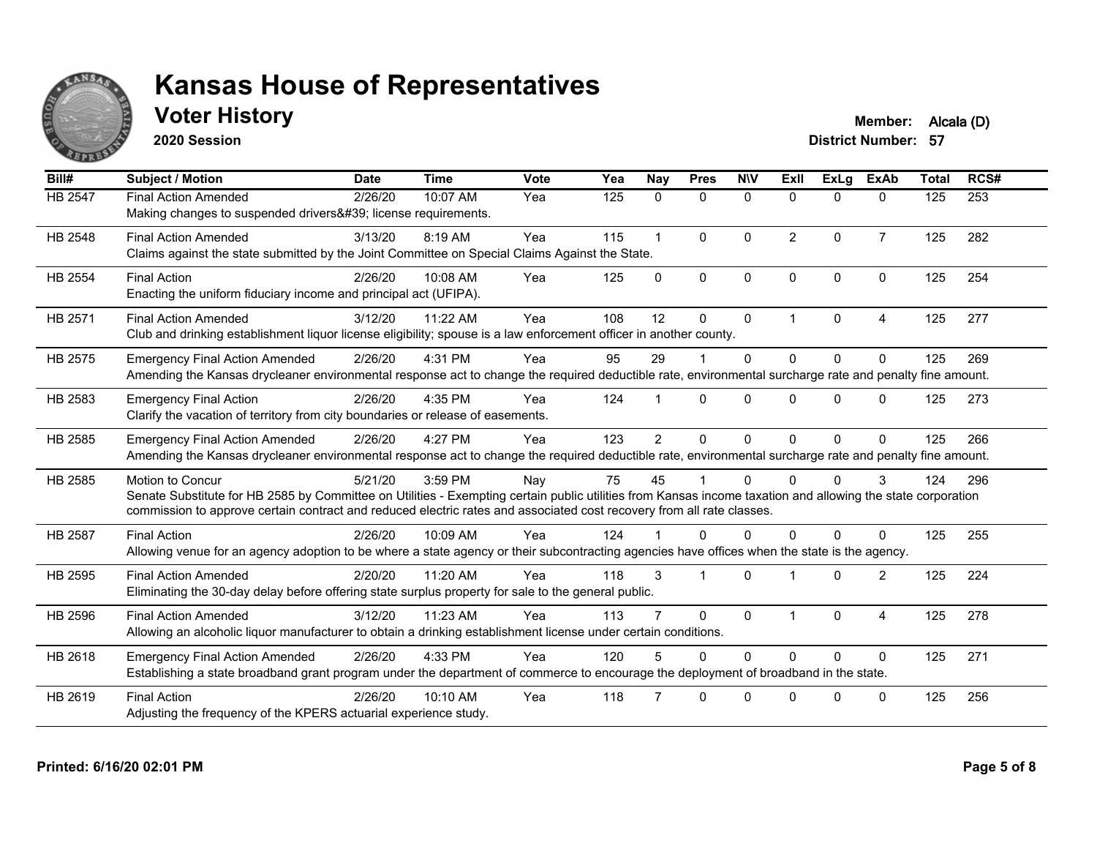

## **Voter History Member:** Alcala (D)

**2020 Session**

| Bill#          | <b>Subject / Motion</b>                                                                                                                                                                                                                                                                                         | <b>Date</b> | <b>Time</b> | <b>Vote</b> | Yea | <b>Nay</b>     | <b>Pres</b>  | <b>NIV</b>   | ExII           | ExLg         | <b>ExAb</b>    | <b>Total</b> | RCS# |
|----------------|-----------------------------------------------------------------------------------------------------------------------------------------------------------------------------------------------------------------------------------------------------------------------------------------------------------------|-------------|-------------|-------------|-----|----------------|--------------|--------------|----------------|--------------|----------------|--------------|------|
| HB 2547        | <b>Final Action Amended</b><br>Making changes to suspended drivers' license requirements.                                                                                                                                                                                                                       | 2/26/20     | 10:07 AM    | Yea         | 125 | $\mathbf{0}$   | 0            | $\mathbf 0$  | $\Omega$       | $\Omega$     | $\mathbf{0}$   | 125          | 253  |
| HB 2548        | <b>Final Action Amended</b><br>Claims against the state submitted by the Joint Committee on Special Claims Against the State.                                                                                                                                                                                   | 3/13/20     | 8:19 AM     | Yea         | 115 | $\overline{1}$ | $\mathbf{0}$ | $\Omega$     | $\overline{2}$ | $\Omega$     | $\overline{7}$ | 125          | 282  |
| HB 2554        | <b>Final Action</b><br>Enacting the uniform fiduciary income and principal act (UFIPA).                                                                                                                                                                                                                         | 2/26/20     | 10:08 AM    | Yea         | 125 | $\Omega$       | $\mathbf{0}$ | $\mathbf{0}$ | $\Omega$       | $\Omega$     | $\Omega$       | 125          | 254  |
| HB 2571        | <b>Final Action Amended</b><br>Club and drinking establishment liquor license eligibility; spouse is a law enforcement officer in another county.                                                                                                                                                               | 3/12/20     | 11:22 AM    | Yea         | 108 | 12             | $\Omega$     | $\mathbf 0$  | 1              | $\Omega$     | 4              | 125          | 277  |
| HB 2575        | <b>Emergency Final Action Amended</b><br>Amending the Kansas drycleaner environmental response act to change the required deductible rate, environmental surcharge rate and penalty fine amount.                                                                                                                | 2/26/20     | 4:31 PM     | Yea         | 95  | 29             |              | $\Omega$     | $\Omega$       | $\Omega$     | $\Omega$       | 125          | 269  |
| HB 2583        | <b>Emergency Final Action</b><br>Clarify the vacation of territory from city boundaries or release of easements.                                                                                                                                                                                                | 2/26/20     | 4:35 PM     | Yea         | 124 |                | $\Omega$     | $\Omega$     | $\Omega$       | $\Omega$     | $\Omega$       | 125          | 273  |
| HB 2585        | <b>Emergency Final Action Amended</b><br>Amending the Kansas drycleaner environmental response act to change the required deductible rate, environmental surcharge rate and penalty fine amount.                                                                                                                | 2/26/20     | 4:27 PM     | Yea         | 123 | $\overline{2}$ | $\Omega$     | $\Omega$     | $\Omega$       | $\Omega$     | $\Omega$       | 125          | 266  |
| HB 2585        | <b>Motion to Concur</b><br>Senate Substitute for HB 2585 by Committee on Utilities - Exempting certain public utilities from Kansas income taxation and allowing the state corporation<br>commission to approve certain contract and reduced electric rates and associated cost recovery from all rate classes. | 5/21/20     | 3:59 PM     | Nay         | 75  | 45             |              | $\Omega$     | 0              | <sup>0</sup> | 3              | 124          | 296  |
| <b>HB 2587</b> | <b>Final Action</b><br>Allowing venue for an agency adoption to be where a state agency or their subcontracting agencies have offices when the state is the agency.                                                                                                                                             | 2/26/20     | 10:09 AM    | Yea         | 124 |                | $\Omega$     | $\Omega$     | $\Omega$       | $\Omega$     | $\Omega$       | 125          | 255  |
| HB 2595        | <b>Final Action Amended</b><br>Eliminating the 30-day delay before offering state surplus property for sale to the general public.                                                                                                                                                                              | 2/20/20     | 11:20 AM    | Yea         | 118 | 3              |              | $\Omega$     |                | $\Omega$     | $\overline{2}$ | 125          | 224  |
| HB 2596        | <b>Final Action Amended</b><br>Allowing an alcoholic liquor manufacturer to obtain a drinking establishment license under certain conditions.                                                                                                                                                                   | 3/12/20     | 11:23 AM    | Yea         | 113 |                | $\mathbf{0}$ | $\mathbf{0}$ |                | $\Omega$     | 4              | 125          | 278  |
| HB 2618        | <b>Emergency Final Action Amended</b><br>Establishing a state broadband grant program under the department of commerce to encourage the deployment of broadband in the state.                                                                                                                                   | 2/26/20     | 4:33 PM     | Yea         | 120 |                | $\Omega$     | $\Omega$     | $\Omega$       | $\Omega$     | $\Omega$       | 125          | 271  |
| HB 2619        | <b>Final Action</b><br>Adjusting the frequency of the KPERS actuarial experience study.                                                                                                                                                                                                                         | 2/26/20     | 10:10 AM    | Yea         | 118 |                | $\Omega$     | $\Omega$     | U              | <sup>n</sup> | $\Omega$       | 125          | 256  |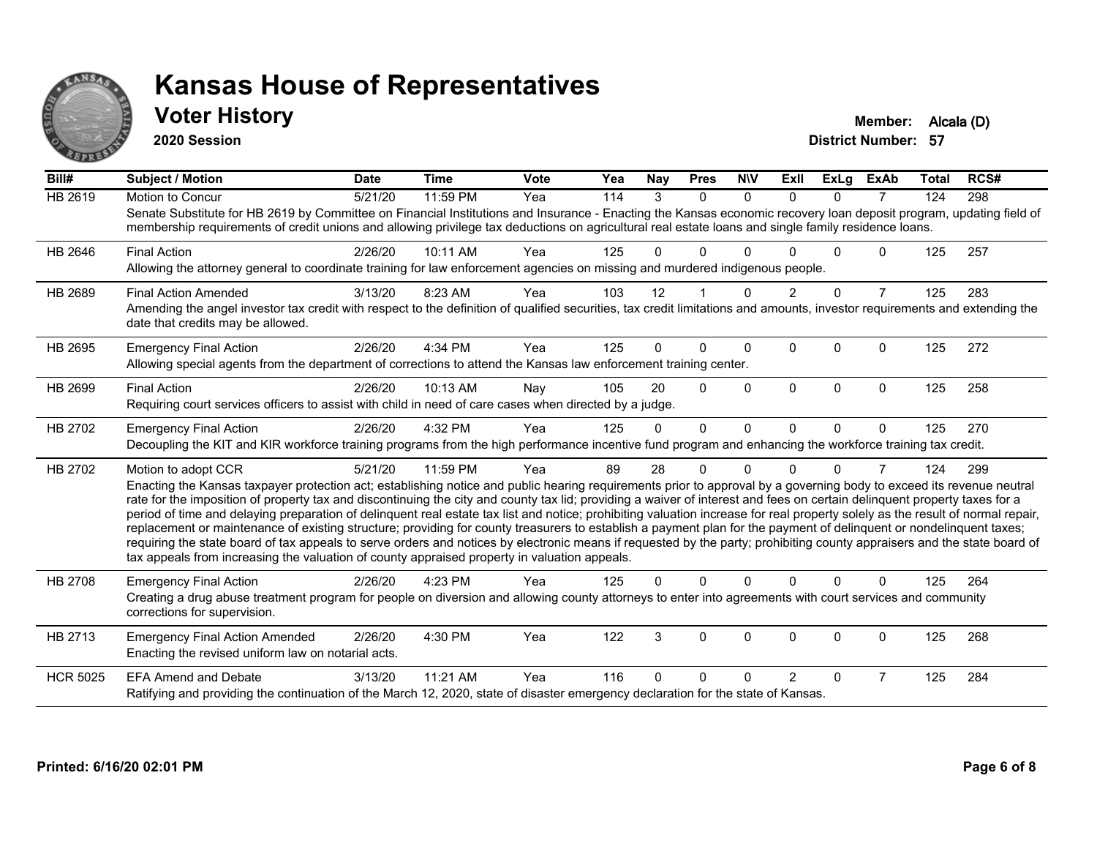

#### **Voter History Member:** Alcala (D)

**2020 Session**

| Bill#           | <b>Subject / Motion</b>                                                                                                                                                                                                                                                                                                                                                                                                                                                                                                                                                                                                                                                                                                                                                                                                                                                                                                                                                                                       | <b>Date</b> | <b>Time</b> | <b>Vote</b> | Yea | <b>Nay</b> | <b>Pres</b>    | <b>NIV</b>   | ExII           | <b>ExLg</b> | <b>ExAb</b>    | Total | RCS# |
|-----------------|---------------------------------------------------------------------------------------------------------------------------------------------------------------------------------------------------------------------------------------------------------------------------------------------------------------------------------------------------------------------------------------------------------------------------------------------------------------------------------------------------------------------------------------------------------------------------------------------------------------------------------------------------------------------------------------------------------------------------------------------------------------------------------------------------------------------------------------------------------------------------------------------------------------------------------------------------------------------------------------------------------------|-------------|-------------|-------------|-----|------------|----------------|--------------|----------------|-------------|----------------|-------|------|
| HB 2619         | Motion to Concur<br>Senate Substitute for HB 2619 by Committee on Financial Institutions and Insurance - Enacting the Kansas economic recovery loan deposit program, updating field of<br>membership requirements of credit unions and allowing privilege tax deductions on agricultural real estate loans and single family residence loans.                                                                                                                                                                                                                                                                                                                                                                                                                                                                                                                                                                                                                                                                 | 5/21/20     | 11:59 PM    | Yea         | 114 | 3          | $\Omega$       | $\Omega$     | $\Omega$       | $\Omega$    | $\overline{7}$ | 124   | 298  |
| HB 2646         | <b>Final Action</b><br>Allowing the attorney general to coordinate training for law enforcement agencies on missing and murdered indigenous people.                                                                                                                                                                                                                                                                                                                                                                                                                                                                                                                                                                                                                                                                                                                                                                                                                                                           | 2/26/20     | 10:11 AM    | Yea         | 125 | 0          | 0              | <sup>0</sup> |                | U           | 0              | 125   | 257  |
| HB 2689         | <b>Final Action Amended</b><br>Amending the angel investor tax credit with respect to the definition of qualified securities, tax credit limitations and amounts, investor requirements and extending the<br>date that credits may be allowed.                                                                                                                                                                                                                                                                                                                                                                                                                                                                                                                                                                                                                                                                                                                                                                | 3/13/20     | 8:23 AM     | Yea         | 103 | 12         |                | <sup>0</sup> |                | $\Omega$    | $\overline{7}$ | 125   | 283  |
| HB 2695         | <b>Emergency Final Action</b><br>Allowing special agents from the department of corrections to attend the Kansas law enforcement training center.                                                                                                                                                                                                                                                                                                                                                                                                                                                                                                                                                                                                                                                                                                                                                                                                                                                             | 2/26/20     | 4:34 PM     | Yea         | 125 | 0          | $\Omega$       | $\Omega$     | $\Omega$       | $\Omega$    | 0              | 125   | 272  |
| HB 2699         | <b>Final Action</b><br>Requiring court services officers to assist with child in need of care cases when directed by a judge.                                                                                                                                                                                                                                                                                                                                                                                                                                                                                                                                                                                                                                                                                                                                                                                                                                                                                 | 2/26/20     | 10:13 AM    | Nay         | 105 | 20         | $\Omega$       | $\Omega$     | $\Omega$       | $\Omega$    | $\Omega$       | 125   | 258  |
| HB 2702         | <b>Emergency Final Action</b><br>Decoupling the KIT and KIR workforce training programs from the high performance incentive fund program and enhancing the workforce training tax credit.                                                                                                                                                                                                                                                                                                                                                                                                                                                                                                                                                                                                                                                                                                                                                                                                                     | 2/26/20     | 4:32 PM     | Yea         | 125 | $\Omega$   | $\overline{0}$ | $\mathbf{0}$ | $\Omega$       | $\Omega$    | $\Omega$       | 125   | 270  |
| HB 2702         | Motion to adopt CCR<br>Enacting the Kansas taxpayer protection act; establishing notice and public hearing requirements prior to approval by a governing body to exceed its revenue neutral<br>rate for the imposition of property tax and discontinuing the city and county tax lid; providing a waiver of interest and fees on certain delinquent property taxes for a<br>period of time and delaying preparation of delinquent real estate tax list and notice; prohibiting valuation increase for real property solely as the result of normal repair,<br>replacement or maintenance of existing structure; providing for county treasurers to establish a payment plan for the payment of delinquent or nondelinquent taxes;<br>requiring the state board of tax appeals to serve orders and notices by electronic means if requested by the party; prohibiting county appraisers and the state board of<br>tax appeals from increasing the valuation of county appraised property in valuation appeals. | 5/21/20     | 11:59 PM    | Yea         | 89  | 28         | 0              | $\Omega$     | U              | $\Omega$    | 7              | 124   | 299  |
| <b>HB 2708</b>  | <b>Emergency Final Action</b><br>Creating a drug abuse treatment program for people on diversion and allowing county attorneys to enter into agreements with court services and community<br>corrections for supervision.                                                                                                                                                                                                                                                                                                                                                                                                                                                                                                                                                                                                                                                                                                                                                                                     | 2/26/20     | 4:23 PM     | Yea         | 125 | 0          | 0              | $\Omega$     | $\Omega$       | $\Omega$    | $\Omega$       | 125   | 264  |
| HB 2713         | <b>Emergency Final Action Amended</b><br>Enacting the revised uniform law on notarial acts.                                                                                                                                                                                                                                                                                                                                                                                                                                                                                                                                                                                                                                                                                                                                                                                                                                                                                                                   | 2/26/20     | 4:30 PM     | Yea         | 122 | 3          | 0              | $\mathbf 0$  | $\mathbf 0$    | $\mathbf 0$ | 0              | 125   | 268  |
| <b>HCR 5025</b> | <b>EFA Amend and Debate</b><br>Ratifying and providing the continuation of the March 12, 2020, state of disaster emergency declaration for the state of Kansas.                                                                                                                                                                                                                                                                                                                                                                                                                                                                                                                                                                                                                                                                                                                                                                                                                                               | 3/13/20     | 11:21 AM    | Yea         | 116 | 0          | 0              | <sup>0</sup> | $\overline{2}$ | 0           | $\overline{7}$ | 125   | 284  |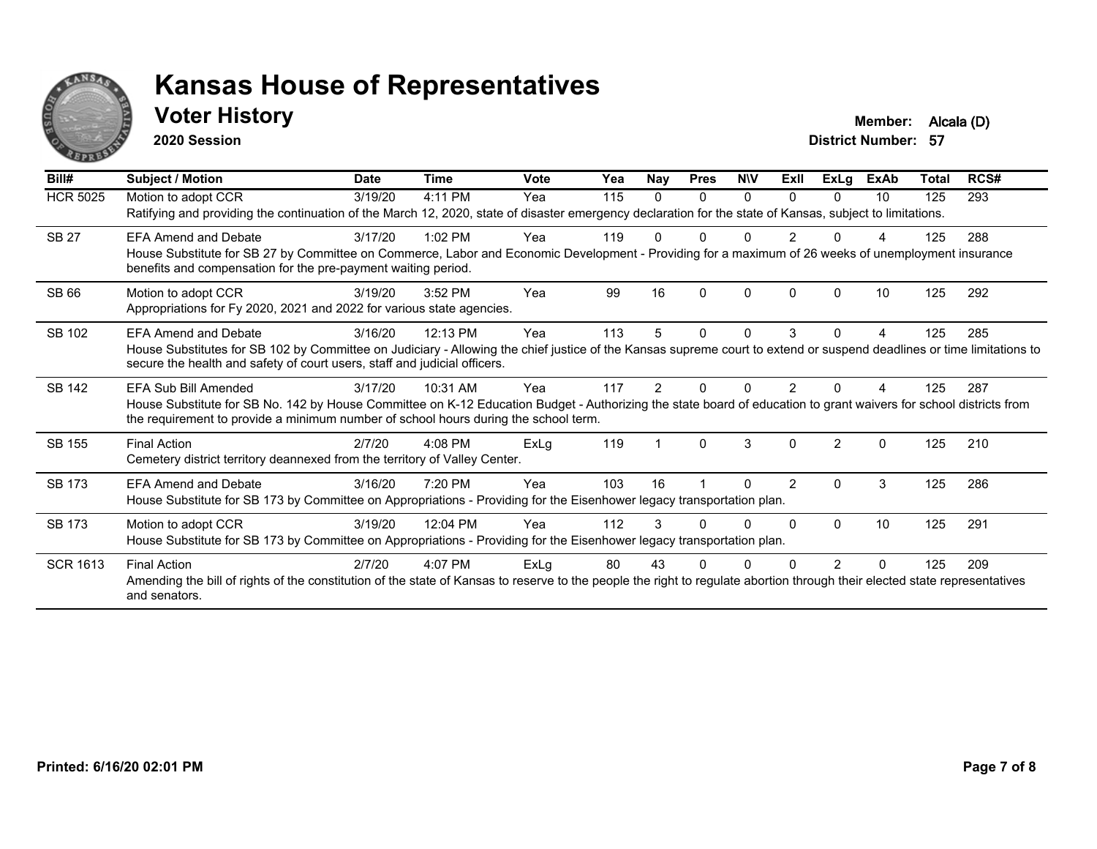

#### **Voter History Member:** Alcala (D)

**2020 Session**

| Bill#           | Subject / Motion                                                                                                                                                                                                                                                                 | <b>Date</b> | <b>Time</b> | Vote | Yea | <b>Nay</b> | <b>Pres</b> | <b>NIV</b> | ExII          | ExLg           | <b>ExAb</b> | Total | RCS# |
|-----------------|----------------------------------------------------------------------------------------------------------------------------------------------------------------------------------------------------------------------------------------------------------------------------------|-------------|-------------|------|-----|------------|-------------|------------|---------------|----------------|-------------|-------|------|
| <b>HCR 5025</b> | Motion to adopt CCR<br>Ratifying and providing the continuation of the March 12, 2020, state of disaster emergency declaration for the state of Kansas, subject to limitations.                                                                                                  | 3/19/20     | 4:11 PM     | Yea  | 115 | 0          | 0           | $\Omega$   | $\Omega$      | 0              | 10          | 125   | 293  |
| <b>SB 27</b>    | FFA Amend and Debate<br>House Substitute for SB 27 by Committee on Commerce, Labor and Economic Development - Providing for a maximum of 26 weeks of unemployment insurance<br>benefits and compensation for the pre-payment waiting period.                                     | 3/17/20     | $1:02$ PM   | Yea  | 119 |            |             |            |               |                |             | 125   | 288  |
| <b>SB 66</b>    | Motion to adopt CCR<br>Appropriations for Fy 2020, 2021 and 2022 for various state agencies.                                                                                                                                                                                     | 3/19/20     | 3:52 PM     | Yea  | 99  | 16         | $\Omega$    | $\Omega$   | $\Omega$      | 0              | 10          | 125   | 292  |
| SB 102          | FFA Amend and Debate<br>House Substitutes for SB 102 by Committee on Judiciary - Allowing the chief justice of the Kansas supreme court to extend or suspend deadlines or time limitations to<br>secure the health and safety of court users, staff and judicial officers.       | 3/16/20     | 12:13 PM    | Yea  | 113 |            | $\Omega$    | $\Omega$   | 3             | 0              |             | 125   | 285  |
| <b>SB 142</b>   | EFA Sub Bill Amended<br>House Substitute for SB No. 142 by House Committee on K-12 Education Budget - Authorizing the state board of education to grant waivers for school districts from<br>the requirement to provide a minimum number of school hours during the school term. | 3/17/20     | $10:31$ AM  | Yea  | 117 |            |             |            |               |                |             | 125   | 287  |
| SB 155          | <b>Final Action</b><br>Cemetery district territory deannexed from the territory of Valley Center.                                                                                                                                                                                | 2/7/20      | $4:08$ PM   | ExLg | 119 |            | $\Omega$    | 3          | $\Omega$      | $\mathfrak{p}$ | $\Omega$    | 125   | 210  |
| SB 173          | <b>EFA Amend and Debate</b><br>House Substitute for SB 173 by Committee on Appropriations - Providing for the Eisenhower legacy transportation plan.                                                                                                                             | 3/16/20     | 7:20 PM     | Yea  | 103 | 16         |             | O          | $\mathcal{P}$ | 0              | 3           | 125   | 286  |
| SB 173          | Motion to adopt CCR<br>House Substitute for SB 173 by Committee on Appropriations - Providing for the Eisenhower legacy transportation plan.                                                                                                                                     | 3/19/20     | 12:04 PM    | Yea  | 112 |            |             | U          | <sup>0</sup>  | $\Omega$       | 10          | 125   | 291  |
| <b>SCR 1613</b> | <b>Final Action</b><br>Amending the bill of rights of the constitution of the state of Kansas to reserve to the people the right to regulate abortion through their elected state representatives<br>and senators.                                                               | 2/7/20      | $4:07$ PM   | ExLg | 80  | 43         |             |            |               | 2              | $\Omega$    | 125   | 209  |